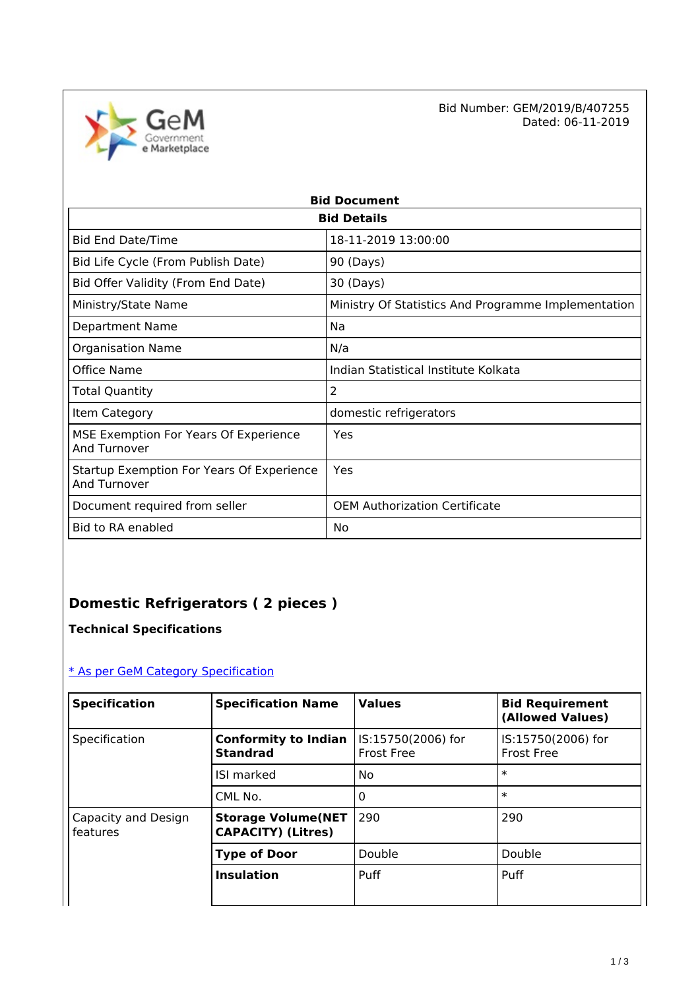

Bid Number: GEM/2019/B/407255<br>Dated: 06-11-2019 Dated: 06-11-2019

| <b>Bid Document</b>                                       |                                                     |  |  |  |  |
|-----------------------------------------------------------|-----------------------------------------------------|--|--|--|--|
| <b>Bid Details</b>                                        |                                                     |  |  |  |  |
| <b>Bid End Date/Time</b>                                  | 18-11-2019 13:00:00                                 |  |  |  |  |
| Bid Life Cycle (From Publish Date)                        | 90 (Days)                                           |  |  |  |  |
| Bid Offer Validity (From End Date)                        | 30 (Days)                                           |  |  |  |  |
| Ministry/State Name                                       | Ministry Of Statistics And Programme Implementation |  |  |  |  |
| <b>Department Name</b>                                    | Na                                                  |  |  |  |  |
| <b>Organisation Name</b>                                  | N/a                                                 |  |  |  |  |
| Office Name                                               | Indian Statistical Institute Kolkata                |  |  |  |  |
| Total Quantity                                            | 2                                                   |  |  |  |  |
| Item Category                                             | domestic refrigerators                              |  |  |  |  |
| MSE Exemption For Years Of Experience<br>And Turnover     | Yes                                                 |  |  |  |  |
| Startup Exemption For Years Of Experience<br>And Turnover | Yes                                                 |  |  |  |  |
| Document required from seller                             | <b>OEM Authorization Certificate</b>                |  |  |  |  |
| Bid to RA enabled                                         | No                                                  |  |  |  |  |

# **Domestic Refrigerators ( 2 pieces )**

**Technical Specifications**

### [\\* As per GeM Category Specification](https://bidplus.gem.gov.in/bidding/bid/showCatalogue/YvZn3Of0jBX9q4Q0D-EfWpLt8p5TiwfBUv5H5zjj1EE)

| <b>Specification</b>            | <b>Specification Name</b>                              | <b>Values</b>                           | <b>Bid Requirement</b><br>(Allowed Values) |
|---------------------------------|--------------------------------------------------------|-----------------------------------------|--------------------------------------------|
| Specification                   | <b>Conformity to Indian</b><br><b>Standrad</b>         | IS:15750(2006) for<br><b>Frost Free</b> | IS:15750(2006) for<br><b>Frost Free</b>    |
|                                 | <b>ISI marked</b>                                      | No                                      | $\ast$                                     |
|                                 | CML No.                                                | 0                                       | $\ast$                                     |
| Capacity and Design<br>features | <b>Storage Volume(NET</b><br><b>CAPACITY) (Litres)</b> | 290                                     | 290                                        |
|                                 | <b>Type of Door</b>                                    | Double                                  | Double                                     |
|                                 | <b>Insulation</b>                                      | Puff                                    | Puff                                       |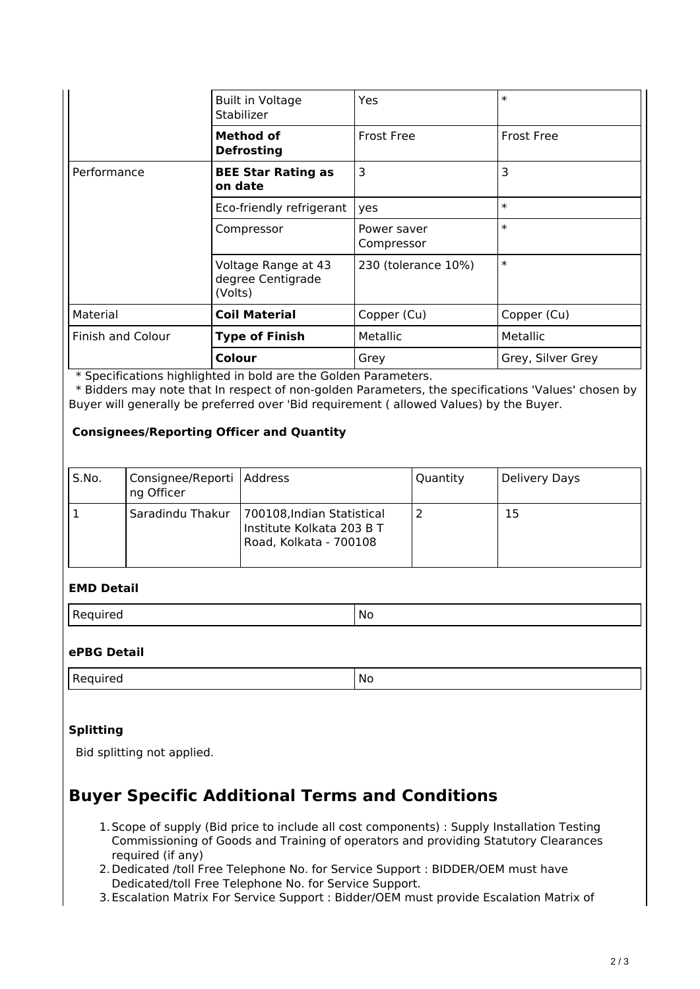|                          | <b>Built in Voltage</b><br>Stabilizer               | Yes                       | $\ast$            |
|--------------------------|-----------------------------------------------------|---------------------------|-------------------|
|                          | <b>Method of</b><br><b>Defrosting</b>               | <b>Frost Free</b>         | <b>Frost Free</b> |
| Performance              | <b>BEE Star Rating as</b><br>on date                | 3                         | 3                 |
|                          | Eco-friendly refrigerant                            | yes                       | $\ast$            |
|                          | Compressor                                          | Power saver<br>Compressor | $\ast$            |
|                          | Voltage Range at 43<br>degree Centigrade<br>(Volts) | 230 (tolerance 10%)       | $\ast$            |
| Material                 | <b>Coil Material</b>                                | Copper (Cu)               | Copper (Cu)       |
| <b>Finish and Colour</b> | <b>Type of Finish</b>                               | Metallic                  | Metallic          |
|                          | Colour                                              | Grey                      | Grey, Silver Grey |

\* Specifications highlighted in bold are the Golden Parameters.

 \* Bidders may note that In respect of non-golden Parameters, the specifications 'Values' chosen by Buyer will generally be preferred over 'Bid requirement ( allowed Values) by the Buyer.

#### **Consignees/Reporting Officer and Quantity**

| S.No. | Consignee/Reporti   Address<br>ng Officer |                                                                                   | Quantity | Delivery Days |
|-------|-------------------------------------------|-----------------------------------------------------------------------------------|----------|---------------|
|       | Saradindu Thakur                          | 700108, Indian Statistical<br>Institute Kolkata 203 B T<br>Road, Kolkata - 700108 |          | 15            |

#### **EMD Detail**

Required No. 2012 No. 2013 No. 2014 No. 2014 No. 2014 No. 2014 No. 2014 No. 2014 No. 2014 No. 2014 No. 2014 No

#### **ePBG Detail**

Required No. 2012 No. 2013 No. 2014 No. 2014 No. 2014 No. 2014 No. 2014 No. 2014 No. 2014 No. 2014 No. 2014 No

#### **Splitting**

Bid splitting not applied.

## **Buyer Specific Additional Terms and Conditions**

- 1.Scope of supply (Bid price to include all cost components) : Supply Installation Testing Commissioning of Goods and Training of operators and providing Statutory Clearances required (if any)
- 2.Dedicated /toll Free Telephone No. for Service Support : BIDDER/OEM must have Dedicated/toll Free Telephone No. for Service Support.
- 3.Escalation Matrix For Service Support : Bidder/OEM must provide Escalation Matrix of